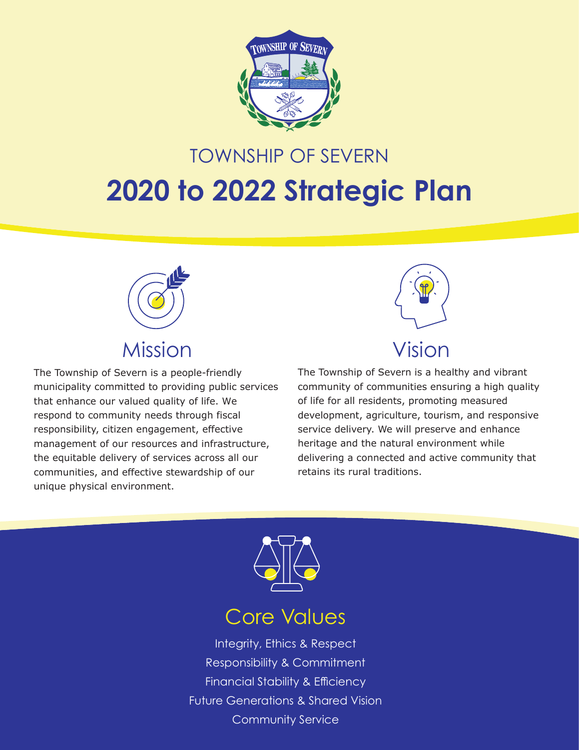

### TOWNSHIP OF SEVERN

# **2020 to 2022 Strategic Plan**



The Township of Severn is a people-friendly municipality committed to providing public services that enhance our valued quality of life. We respond to community needs through fiscal responsibility, citizen engagement, effective management of our resources and infrastructure, the equitable delivery of services across all our communities, and effective stewardship of our unique physical environment.



The Township of Severn is a healthy and vibrant community of communities ensuring a high quality of life for all residents, promoting measured development, agriculture, tourism, and responsive service delivery. We will preserve and enhance heritage and the natural environment while delivering a connected and active community that retains its rural traditions.



### Core Values

Integrity, Ethics & Respect Responsibility & Commitment Financial Stability & Efficiency Future Generations & Shared Vision Community Service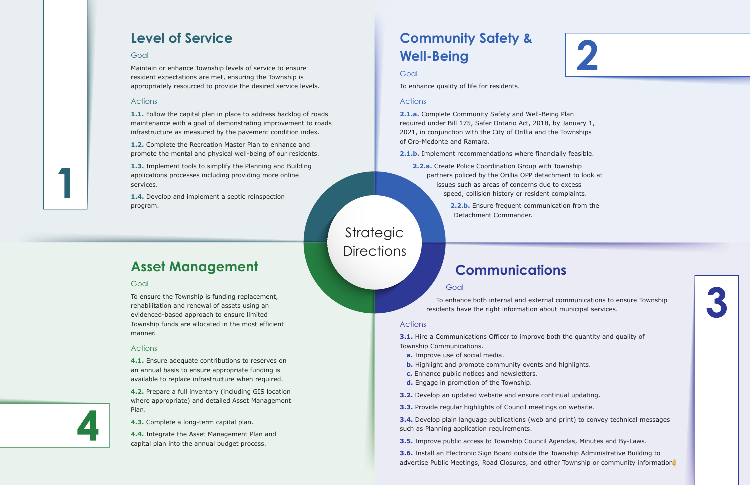# **Communications**

### **Goal**

- To enhance both internal and external communications to ensure Township
	-

- 
- 
- 



residents have the right information about municipal services.

### **Actions**

**3.1.** Hire a Communications Officer to improve both the quantity and quality of Township Communications.

- **a.** Improve use of social media.
- **b.** Highlight and promote community events and highlights.
- **c.** Enhance public notices and newsletters.
- **d.** Engage in promotion of the Township.
- **3.2.** Develop an updated website and ensure continual updating.
- **3.3.** Provide regular highlights of Council meetings on website.

**3.4.** Develop plain language publications (web and print) to convey technical messages such as Planning application requirements.

**3.5.** Improve public access to Township Council Agendas, Minutes and By-Laws.

**3.6.** Install an Electronic Sign Board outside the Township Administrative Building to advertise Public Meetings, Road Closures, and other Township or community information.



- 
- 
- 
- 
- 
- 
- 

## **Asset Management**

### Goal

To ensure the Township is funding replacement, rehabilitation and renewal of assets using an evidenced-based approach to ensure limited Township funds are allocated in the most efficient manner.

#### Actions

**4.1.** Ensure adequate contributions to reserves on an annual basis to ensure appropriate funding is available to replace infrastructure when required.

**4.2.** Prepare a full inventory (including GIS location where appropriate) and detailed Asset Management Plan.

1.4. Develop and implement a septic reinspection program.

# Strategic **Directions**

**4.3.** Complete a long-term capital plan.

**4.4.** Integrate the Asset Management Plan and capital plan into the annual budget process.

# **Community Safety & Well-Being**

### **Goal**

To enhance quality of life for residents.

### **Actions**

**2.1.a.** Complete Community Safety and Well-Being Plan required under Bill 175, Safer Ontario Act, 2018, by January 1, 2021, in conjunction with the City of Orillia and the Townships of Oro-Medonte and Ramara.

**2.1.b.** Implement recommendations where financially feasible.

**2.2.a.** Create Police Coordination Group with Township partners policed by the Orillia OPP detachment to look at issues such as areas of concerns due to excess speed, collision history or resident complaints.

> **2.2.b.** Ensure frequent communication from the Detachment Commander.

# **Level of Service**

### **Goal**

Maintain or enhance Township levels of service to ensure resident expectations are met, ensuring the Township is appropriately resourced to provide the desired service levels.

#### **Actions**

**1.1.** Follow the capital plan in place to address backlog of roads maintenance with a goal of demonstrating improvement to roads infrastructure as measured by the pavement condition index.

**1.2.** Complete the Recreation Master Plan to enhance and promote the mental and physical well-being of our residents.

**1.3.** Implement tools to simplify the Planning and Building applications processes including providing more online services.